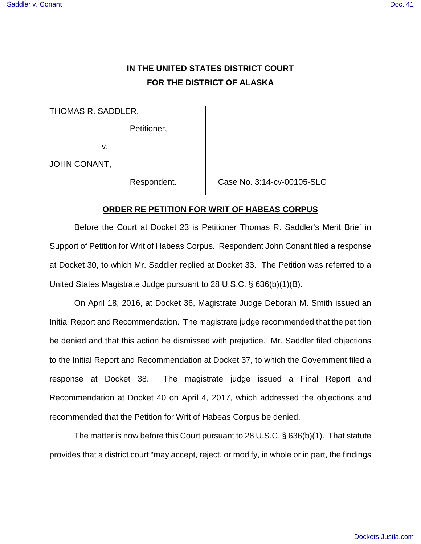# **IN THE UNITED STATES DISTRICT COURT FOR THE DISTRICT OF ALASKA**

THOMAS R. SADDLER,

Petitioner,

v.

JOHN CONANT,

Respondent. Case No. 3:14-cv-00105-SLG

## **ORDER RE PETITION FOR WRIT OF HABEAS CORPUS**

Before the Court at Docket 23 is Petitioner Thomas R. Saddler's Merit Brief in Support of Petition for Writ of Habeas Corpus. Respondent John Conant filed a response at Docket 30, to which Mr. Saddler replied at Docket 33. The Petition was referred to a United States Magistrate Judge pursuant to 28 U.S.C. § 636(b)(1)(B).

On April 18, 2016, at Docket 36, Magistrate Judge Deborah M. Smith issued an Initial Report and Recommendation. The magistrate judge recommended that the petition be denied and that this action be dismissed with prejudice. Mr. Saddler filed objections to the Initial Report and Recommendation at Docket 37, to which the Government filed a response at Docket 38. The magistrate judge issued a Final Report and Recommendation at Docket 40 on April 4, 2017, which addressed the objections and recommended that the Petition for Writ of Habeas Corpus be denied.

The matter is now before this Court pursuant to 28 U.S.C. § 636(b)(1). That statute provides that a district court "may accept, reject, or modify, in whole or in part, the findings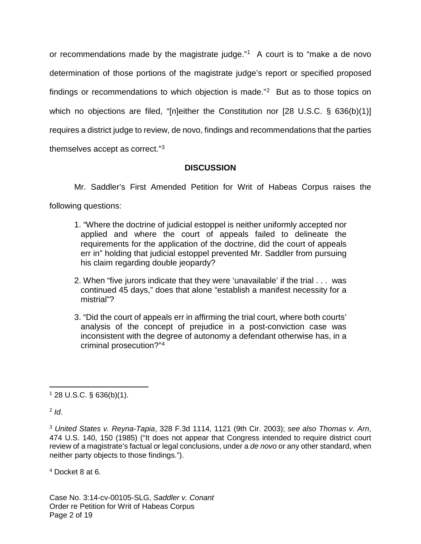or recommendations made by the magistrate judge."[1](#page-1-0) A court is to "make a de novo determination of those portions of the magistrate judge's report or specified proposed findings or recommendations to which objection is made."<sup>[2](#page-1-1)</sup> But as to those topics on which no objections are filed, "[n]either the Constitution nor [28 U.S.C. § 636(b)(1)] requires a district judge to review, de novo, findings and recommendations that the parties themselves accept as correct."[3](#page-1-2)

# **DISCUSSION**

Mr. Saddler's First Amended Petition for Writ of Habeas Corpus raises the

following questions:

- 1. "Where the doctrine of judicial estoppel is neither uniformly accepted nor applied and where the court of appeals failed to delineate the requirements for the application of the doctrine, did the court of appeals err in" holding that judicial estoppel prevented Mr. Saddler from pursuing his claim regarding double jeopardy?
- 2. When "five jurors indicate that they were 'unavailable' if the trial . . . was continued 45 days," does that alone "establish a manifest necessity for a mistrial"?
- 3. "Did the court of appeals err in affirming the trial court, where both courts' analysis of the concept of prejudice in a post-conviction case was inconsistent with the degree of autonomy a defendant otherwise has, in a criminal prosecution?"[4](#page-1-3)

<span id="page-1-1"></span> $2$  Id.

<span id="page-1-3"></span><sup>4</sup> Docket 8 at 6.

Case No. 3:14-cv-00105-SLG, Saddler v. Conant Order re Petition for Writ of Habeas Corpus Page 2 of 19

<span id="page-1-0"></span> $\overline{a}$  $128$  U.S.C. § 636(b)(1).

<span id="page-1-2"></span><sup>&</sup>lt;sup>3</sup> United States v. Reyna-Tapia, 328 F.3d 1114, 1121 (9th Cir. 2003); see also Thomas v. Arn, 474 U.S. 140, 150 (1985) ("It does not appear that Congress intended to require district court review of a magistrate's factual or legal conclusions, under a de novo or any other standard, when neither party objects to those findings.").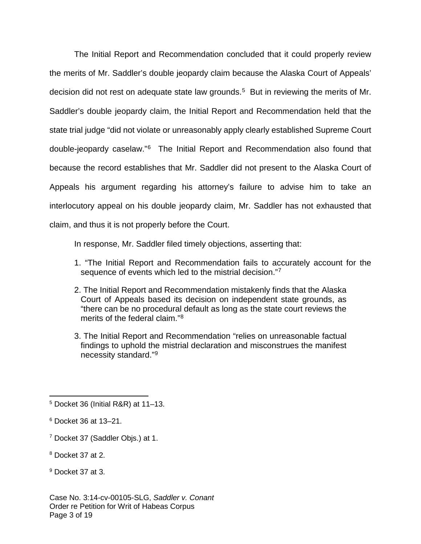The Initial Report and Recommendation concluded that it could properly review the merits of Mr. Saddler's double jeopardy claim because the Alaska Court of Appeals' decision did not rest on adequate state law grounds.<sup>[5](#page-2-0)</sup> But in reviewing the merits of Mr. Saddler's double jeopardy claim, the Initial Report and Recommendation held that the state trial judge "did not violate or unreasonably apply clearly established Supreme Court double-jeopardy caselaw." [6](#page-2-1) The Initial Report and Recommendation also found that because the record establishes that Mr. Saddler did not present to the Alaska Court of Appeals his argument regarding his attorney's failure to advise him to take an interlocutory appeal on his double jeopardy claim, Mr. Saddler has not exhausted that claim, and thus it is not properly before the Court.

In response, Mr. Saddler filed timely objections, asserting that:

- 1. "The Initial Report and Recommendation fails to accurately account for the sequence of events which led to the mistrial decision."[7](#page-2-2)
- 2. The Initial Report and Recommendation mistakenly finds that the Alaska Court of Appeals based its decision on independent state grounds, as "there can be no procedural default as long as the state court reviews the merits of the federal claim."[8](#page-2-3)
- 3. The Initial Report and Recommendation "relies on unreasonable factual findings to uphold the mistrial declaration and misconstrues the manifest necessity standard."[9](#page-2-4)

<span id="page-2-3"></span><sup>8</sup> Docket 37 at 2.

<span id="page-2-0"></span> $5$  Docket 36 (Initial R&R) at 11-13.

<span id="page-2-1"></span><sup>6</sup> Docket 36 at 13–21.

<span id="page-2-2"></span><sup>7</sup> Docket 37 (Saddler Objs.) at 1.

<span id="page-2-4"></span><sup>9</sup> Docket 37 at 3.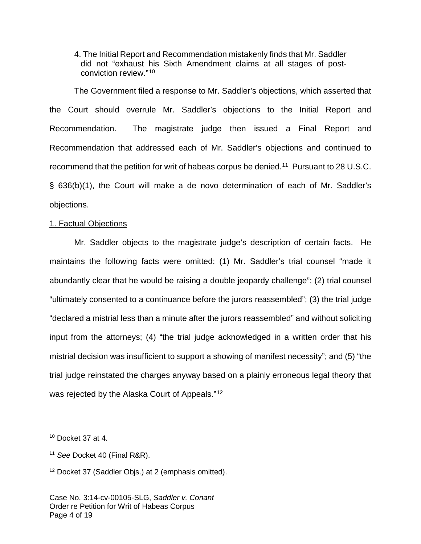4. The Initial Report and Recommendation mistakenly finds that Mr. Saddler did not "exhaust his Sixth Amendment claims at all stages of postconviction review."[10](#page-3-0)

The Government filed a response to Mr. Saddler's objections, which asserted that the Court should overrule Mr. Saddler's objections to the Initial Report and Recommendation. The magistrate judge then issued a Final Report and Recommendation that addressed each of Mr. Saddler's objections and continued to recommend that the petition for writ of habeas corpus be denied.<sup>[11](#page-3-1)</sup> Pursuant to 28 U.S.C. § 636(b)(1), the Court will make a de novo determination of each of Mr. Saddler's objections.

#### 1. Factual Objections

Mr. Saddler objects to the magistrate judge's description of certain facts. He maintains the following facts were omitted: (1) Mr. Saddler's trial counsel "made it abundantly clear that he would be raising a double jeopardy challenge"; (2) trial counsel "ultimately consented to a continuance before the jurors reassembled"; (3) the trial judge "declared a mistrial less than a minute after the jurors reassembled" and without soliciting input from the attorneys; (4) "the trial judge acknowledged in a written order that his mistrial decision was insufficient to support a showing of manifest necessity"; and (5) "the trial judge reinstated the charges anyway based on a plainly erroneous legal theory that was rejected by the Alaska Court of Appeals."<sup>[12](#page-3-2)</sup>

1

<span id="page-3-0"></span> $10$  Docket 37 at 4.

<span id="page-3-1"></span><sup>&</sup>lt;sup>11</sup> See Docket 40 (Final R&R).

<span id="page-3-2"></span><sup>&</sup>lt;sup>12</sup> Docket 37 (Saddler Objs.) at 2 (emphasis omitted).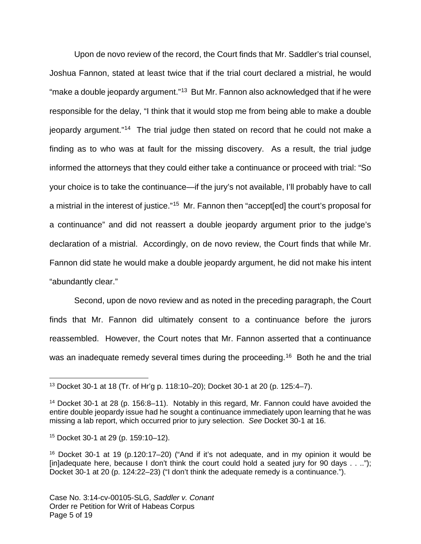Upon de novo review of the record, the Court finds that Mr. Saddler's trial counsel, Joshua Fannon, stated at least twice that if the trial court declared a mistrial, he would "make a double jeopardy argument."<sup>[13](#page-4-0)</sup> But Mr. Fannon also acknowledged that if he were responsible for the delay, "I think that it would stop me from being able to make a double jeopardy argument."<sup>[14](#page-4-1)</sup> The trial judge then stated on record that he could not make a finding as to who was at fault for the missing discovery. As a result, the trial judge informed the attorneys that they could either take a continuance or proceed with trial: "So your choice is to take the continuance—if the jury's not available, I'll probably have to call a mistrial in the interest of justice."<sup>[15](#page-4-2)</sup> Mr. Fannon then "accept[ed] the court's proposal for a continuance" and did not reassert a double jeopardy argument prior to the judge's declaration of a mistrial. Accordingly, on de novo review, the Court finds that while Mr. Fannon did state he would make a double jeopardy argument, he did not make his intent "abundantly clear."

Second, upon de novo review and as noted in the preceding paragraph, the Court finds that Mr. Fannon did ultimately consent to a continuance before the jurors reassembled. However, the Court notes that Mr. Fannon asserted that a continuance was an inadequate remedy several times during the proceeding.<sup>[16](#page-4-3)</sup> Both he and the trial

<span id="page-4-0"></span> $\overline{a}$ <sup>13</sup> Docket 30-1 at 18 (Tr. of Hr'g p. 118:10–20); Docket 30-1 at 20 (p. 125:4–7).

<span id="page-4-1"></span><sup>&</sup>lt;sup>14</sup> Docket 30-1 at 28 (p. 156:8-11). Notably in this regard, Mr. Fannon could have avoided the entire double jeopardy issue had he sought a continuance immediately upon learning that he was missing a lab report, which occurred prior to jury selection. See Docket 30-1 at 16.

<span id="page-4-2"></span><sup>15</sup> Docket 30-1 at 29 (p. 159:10–12).

<span id="page-4-3"></span><sup>&</sup>lt;sup>16</sup> Docket 30-1 at 19 (p.120:17–20) ("And if it's not adequate, and in my opinion it would be [in]adequate here, because I don't think the court could hold a seated jury for 90 days . . .."); Docket 30-1 at 20 (p. 124:22–23) ("I don't think the adequate remedy is a continuance.").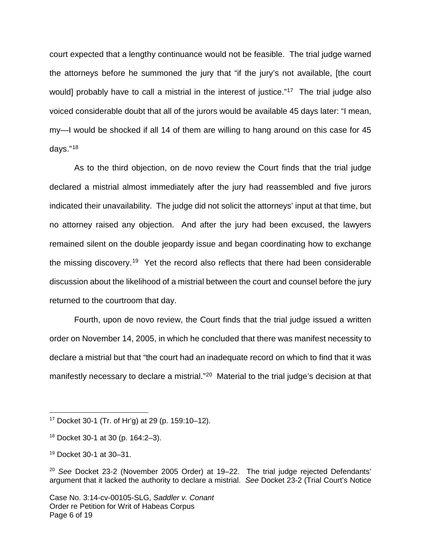court expected that a lengthy continuance would not be feasible. The trial judge warned the attorneys before he summoned the jury that "if the jury's not available, [the court would] probably have to call a mistrial in the interest of justice."<sup>[17](#page-5-0)</sup> The trial judge also voiced considerable doubt that all of the jurors would be available 45 days later: "I mean, my—I would be shocked if all 14 of them are willing to hang around on this case for 45 days."<sup>[18](#page-5-1)</sup>

As to the third objection, on de novo review the Court finds that the trial judge declared a mistrial almost immediately after the jury had reassembled and five jurors indicated their unavailability. The judge did not solicit the attorneys' input at that time, but no attorney raised any objection. And after the jury had been excused, the lawyers remained silent on the double jeopardy issue and began coordinating how to exchange the missing discovery.<sup>[19](#page-5-2)</sup> Yet the record also reflects that there had been considerable discussion about the likelihood of a mistrial between the court and counsel before the jury returned to the courtroom that day.

Fourth, upon de novo review, the Court finds that the trial judge issued a written order on November 14, 2005, in which he concluded that there was manifest necessity to declare a mistrial but that "the court had an inadequate record on which to find that it was manifestly necessary to declare a mistrial."<sup>[20](#page-5-3)</sup> Material to the trial judge's decision at that

<span id="page-5-0"></span><sup>17</sup> Docket 30-1 (Tr. of Hr'g) at 29 (p. 159:10–12).

<span id="page-5-1"></span><sup>18</sup> Docket 30-1 at 30 (p. 164:2–3).

<span id="page-5-2"></span><sup>19</sup> Docket 30-1 at 30–31.

<span id="page-5-3"></span> $20$  See Docket 23-2 (November 2005 Order) at 19-22. The trial judge rejected Defendants' argument that it lacked the authority to declare a mistrial. See Docket 23-2 (Trial Court's Notice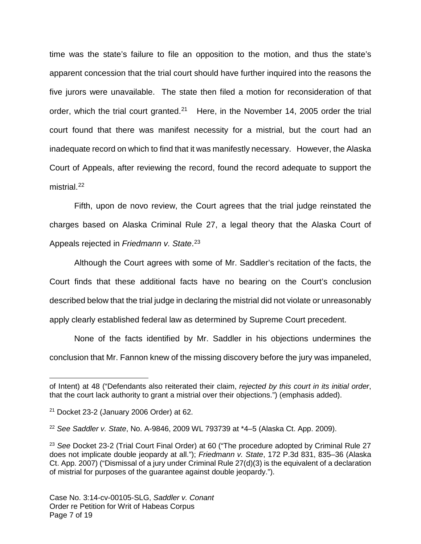time was the state's failure to file an opposition to the motion, and thus the state's apparent concession that the trial court should have further inquired into the reasons the five jurors were unavailable. The state then filed a motion for reconsideration of that order, which the trial court granted.<sup>[21](#page-6-0)</sup> Here, in the November 14, 2005 order the trial court found that there was manifest necessity for a mistrial, but the court had an inadequate record on which to find that it was manifestly necessary. However, the Alaska Court of Appeals, after reviewing the record, found the record adequate to support the mistrial.<sup>[22](#page-6-1)</sup>

Fifth, upon de novo review, the Court agrees that the trial judge reinstated the charges based on Alaska Criminal Rule 27, a legal theory that the Alaska Court of Appeals rejected in Friedmann v. State.<sup>[23](#page-6-2)</sup>

Although the Court agrees with some of Mr. Saddler's recitation of the facts, the Court finds that these additional facts have no bearing on the Court's conclusion described below that the trial judge in declaring the mistrial did not violate or unreasonably apply clearly established federal law as determined by Supreme Court precedent.

None of the facts identified by Mr. Saddler in his objections undermines the conclusion that Mr. Fannon knew of the missing discovery before the jury was impaneled,

 $\overline{a}$ of Intent) at 48 ("Defendants also reiterated their claim, rejected by this court in its initial order, that the court lack authority to grant a mistrial over their objections.") (emphasis added).

<span id="page-6-0"></span> $21$  Docket 23-2 (January 2006 Order) at 62.

<span id="page-6-1"></span><sup>&</sup>lt;sup>22</sup> See Saddler v. State, No. A-9846, 2009 WL 793739 at  $*4-5$  (Alaska Ct. App. 2009).

<span id="page-6-2"></span><sup>&</sup>lt;sup>23</sup> See Docket 23-2 (Trial Court Final Order) at 60 ("The procedure adopted by Criminal Rule 27 does not implicate double jeopardy at all."); Friedmann v. State, 172 P.3d 831, 835–36 (Alaska Ct. App. 2007) ("Dismissal of a jury under Criminal Rule 27(d)(3) is the equivalent of a declaration of mistrial for purposes of the guarantee against double jeopardy.").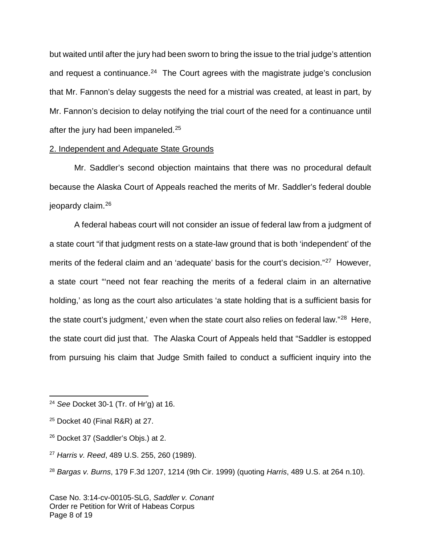but waited until after the jury had been sworn to bring the issue to the trial judge's attention and request a continuance. $24$  The Court agrees with the magistrate judge's conclusion that Mr. Fannon's delay suggests the need for a mistrial was created, at least in part, by Mr. Fannon's decision to delay notifying the trial court of the need for a continuance until after the jury had been impaneled.<sup>[25](#page-7-1)</sup>

#### 2. Independent and Adequate State Grounds

Mr. Saddler's second objection maintains that there was no procedural default because the Alaska Court of Appeals reached the merits of Mr. Saddler's federal double jeopardy claim. [26](#page-7-2)

A federal habeas court will not consider an issue of federal law from a judgment of a state court "if that judgment rests on a state-law ground that is both 'independent' of the merits of the federal claim and an 'adequate' basis for the court's decision."<sup>[27](#page-7-3)</sup> However, a state court "'need not fear reaching the merits of a federal claim in an alternative holding,' as long as the court also articulates 'a state holding that is a sufficient basis for the state court's judgment,' even when the state court also relies on federal law."<sup>[28](#page-7-4)</sup> Here, the state court did just that. The Alaska Court of Appeals held that "Saddler is estopped from pursuing his claim that Judge Smith failed to conduct a sufficient inquiry into the

<u>.</u>

<span id="page-7-0"></span> $24$  See Docket 30-1 (Tr. of Hr'g) at 16.

<span id="page-7-1"></span> $25$  Docket 40 (Final R&R) at 27.

<span id="page-7-2"></span><sup>&</sup>lt;sup>26</sup> Docket 37 (Saddler's Objs.) at 2.

<span id="page-7-3"></span><sup>27</sup> Harris v. Reed, 489 U.S. 255, 260 (1989).

<span id="page-7-4"></span> $28$  Bargas v. Burns, 179 F.3d 1207, 1214 (9th Cir. 1999) (quoting Harris, 489 U.S. at 264 n.10).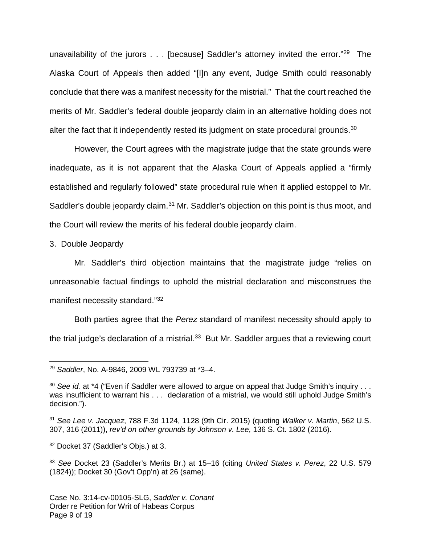unavailability of the jurors . . . [because] Saddler's attorney invited the error."<sup>[29](#page-8-0)</sup> The Alaska Court of Appeals then added "[I]n any event, Judge Smith could reasonably conclude that there was a manifest necessity for the mistrial." That the court reached the merits of Mr. Saddler's federal double jeopardy claim in an alternative holding does not alter the fact that it independently rested its judgment on state procedural grounds. $30$ 

However, the Court agrees with the magistrate judge that the state grounds were inadequate, as it is not apparent that the Alaska Court of Appeals applied a "firmly established and regularly followed" state procedural rule when it applied estoppel to Mr. Saddler's double jeopardy claim.<sup>[31](#page-8-2)</sup> Mr. Saddler's objection on this point is thus moot, and the Court will review the merits of his federal double jeopardy claim.

#### 3. Double Jeopardy

Mr. Saddler's third objection maintains that the magistrate judge "relies on unreasonable factual findings to uphold the mistrial declaration and misconstrues the manifest necessity standard."<sup>[32](#page-8-3)</sup>

Both parties agree that the Perez standard of manifest necessity should apply to the trial judge's declaration of a mistrial. $33$  But Mr. Saddler argues that a reviewing court

<span id="page-8-0"></span> $\overline{a}$ <sup>29</sup> Saddler, No. A-9846, 2009 WL 793739 at \*3–4.

<span id="page-8-1"></span> $30$  See id. at  $*4$  ("Even if Saddler were allowed to argue on appeal that Judge Smith's inquiry . . . was insufficient to warrant his . . . declaration of a mistrial, we would still uphold Judge Smith's decision.").

<span id="page-8-2"></span> $31$  See Lee v. Jacquez, 788 F.3d 1124, 1128 (9th Cir. 2015) (quoting Walker v. Martin, 562 U.S. 307, 316 (2011)), rev'd on other grounds by Johnson v. Lee, 136 S. Ct. 1802 (2016).

<span id="page-8-3"></span><sup>&</sup>lt;sup>32</sup> Docket 37 (Saddler's Objs.) at 3.

<span id="page-8-4"></span><sup>33</sup> See Docket 23 (Saddler's Merits Br.) at 15–16 (citing United States v. Perez, 22 U.S. 579 (1824)); Docket 30 (Gov't Opp'n) at 26 (same).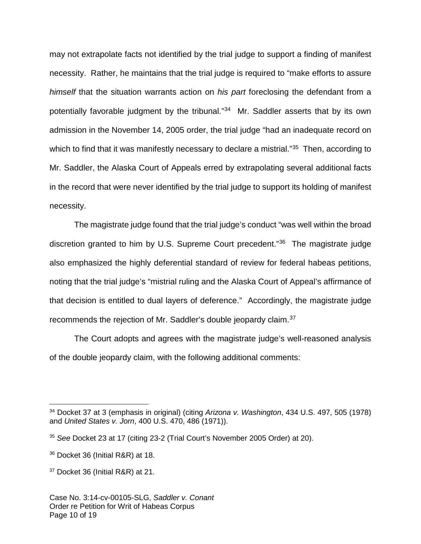may not extrapolate facts not identified by the trial judge to support a finding of manifest necessity. Rather, he maintains that the trial judge is required to "make efforts to assure himself that the situation warrants action on his part foreclosing the defendant from a potentially favorable judgment by the tribunal."<sup>[34](#page-9-0)</sup> Mr. Saddler asserts that by its own admission in the November 14, 2005 order, the trial judge "had an inadequate record on which to find that it was manifestly necessary to declare a mistrial."<sup>[35](#page-9-1)</sup> Then, according to Mr. Saddler, the Alaska Court of Appeals erred by extrapolating several additional facts in the record that were never identified by the trial judge to support its holding of manifest necessity.

The magistrate judge found that the trial judge's conduct "was well within the broad discretion granted to him by U.S. Supreme Court precedent."[36](#page-9-2) The magistrate judge also emphasized the highly deferential standard of review for federal habeas petitions, noting that the trial judge's "mistrial ruling and the Alaska Court of Appeal's affirmance of that decision is entitled to dual layers of deference." Accordingly, the magistrate judge recommends the rejection of Mr. Saddler's double jeopardy claim.<sup>[37](#page-9-3)</sup>

The Court adopts and agrees with the magistrate judge's well-reasoned analysis of the double jeopardy claim, with the following additional comments:

<span id="page-9-0"></span> $34$  Docket 37 at 3 (emphasis in original) (citing Arizona v. Washington, 434 U.S. 497, 505 (1978) and United States v. Jorn, 400 U.S. 470, 486 (1971)).

<span id="page-9-1"></span><sup>35</sup> See Docket 23 at 17 (citing 23-2 (Trial Court's November 2005 Order) at 20).

<span id="page-9-2"></span><sup>&</sup>lt;sup>36</sup> Docket 36 (Initial R&R) at 18.

<span id="page-9-3"></span><sup>&</sup>lt;sup>37</sup> Docket 36 (Initial R&R) at 21.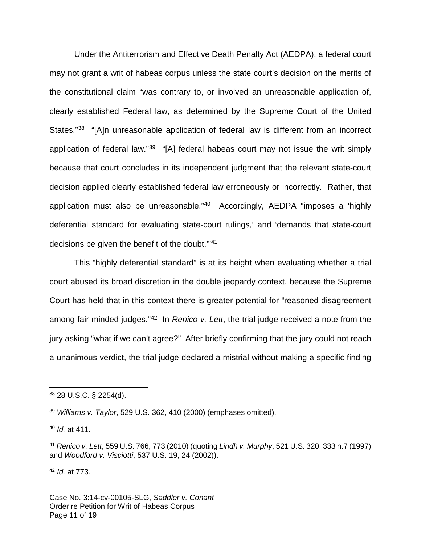Under the Antiterrorism and Effective Death Penalty Act (AEDPA), a federal court may not grant a writ of habeas corpus unless the state court's decision on the merits of the constitutional claim "was contrary to, or involved an unreasonable application of, clearly established Federal law, as determined by the Supreme Court of the United States."<sup>[38](#page-10-0)</sup> "[A]n unreasonable application of federal law is different from an incorrect application of federal law."<sup>[39](#page-10-1)</sup> "[A] federal habeas court may not issue the writ simply because that court concludes in its independent judgment that the relevant state-court decision applied clearly established federal law erroneously or incorrectly. Rather, that application must also be unreasonable."[40](#page-10-2) Accordingly, AEDPA "imposes a 'highly deferential standard for evaluating state-court rulings,' and 'demands that state-court decisions be given the benefit of the doubt.'"[41](#page-10-3)

This "highly deferential standard" is at its height when evaluating whether a trial court abused its broad discretion in the double jeopardy context, because the Supreme Court has held that in this context there is greater potential for "reasoned disagreement among fair-minded judges."<sup>[42](#page-10-4)</sup> In Renico v. Lett, the trial judge received a note from the jury asking "what if we can't agree?" After briefly confirming that the jury could not reach a unanimous verdict, the trial judge declared a mistrial without making a specific finding

 $\overline{a}$ 

<span id="page-10-4"></span> $42$  *Id.* at 773.

<span id="page-10-0"></span><sup>38</sup> 28 U.S.C. § 2254(d).

<span id="page-10-1"></span> $39$  Williams v. Taylor, 529 U.S. 362, 410 (2000) (emphases omitted).

<span id="page-10-2"></span> $40$  *Id.* at 411.

<span id="page-10-3"></span><sup>41</sup> Renico v. Lett, 559 U.S. 766, 773 (2010) (quoting Lindh v. Murphy, 521 U.S. 320, 333 n.7 (1997) and Woodford v. Visciotti, 537 U.S. 19, 24 (2002)).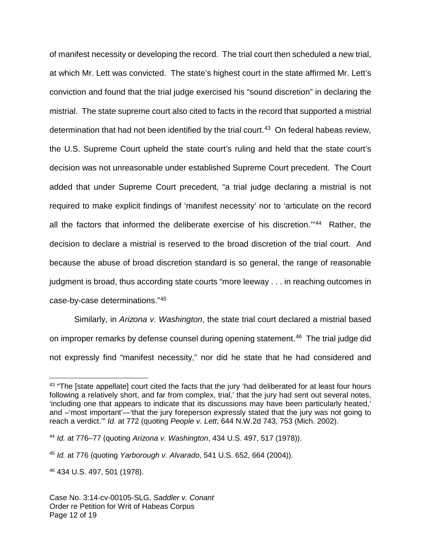of manifest necessity or developing the record. The trial court then scheduled a new trial, at which Mr. Lett was convicted. The state's highest court in the state affirmed Mr. Lett's conviction and found that the trial judge exercised his "sound discretion" in declaring the mistrial. The state supreme court also cited to facts in the record that supported a mistrial determination that had not been identified by the trial court.<sup>[43](#page-11-0)</sup> On federal habeas review, the U.S. Supreme Court upheld the state court's ruling and held that the state court's decision was not unreasonable under established Supreme Court precedent. The Court added that under Supreme Court precedent, "a trial judge declaring a mistrial is not required to make explicit findings of 'manifest necessity' nor to 'articulate on the record all the factors that informed the deliberate exercise of his discretion.'" [44](#page-11-1) Rather, the decision to declare a mistrial is reserved to the broad discretion of the trial court. And because the abuse of broad discretion standard is so general, the range of reasonable judgment is broad, thus according state courts "more leeway . . . in reaching outcomes in case-by-case determinations."[45](#page-11-2)

Similarly, in Arizona v. Washington, the state trial court declared a mistrial based on improper remarks by defense counsel during opening statement.<sup>[46](#page-11-3)</sup> The trial judge did not expressly find "manifest necessity," nor did he state that he had considered and

1

<span id="page-11-0"></span><sup>&</sup>lt;sup>43</sup> "The Istate appellate] court cited the facts that the jury 'had deliberated for at least four hours following a relatively short, and far from complex, trial,' that the jury had sent out several notes, 'including one that appears to indicate that its discussions may have been particularly heated,' and –'most important'—'that the jury foreperson expressly stated that the jury was not going to reach a verdict.'" Id. at 772 (quoting People v. Lett, 644 N.W.2d 743, 753 (Mich. 2002).

<span id="page-11-1"></span><sup>44</sup> Id. at 776–77 (quoting Arizona v. Washington, 434 U.S. 497, 517 (1978)).

<span id="page-11-2"></span> $45$  Id. at 776 (quoting Yarborough v. Alvarado, 541 U.S. 652, 664 (2004)).

<span id="page-11-3"></span><sup>46</sup> 434 U.S. 497, 501 (1978).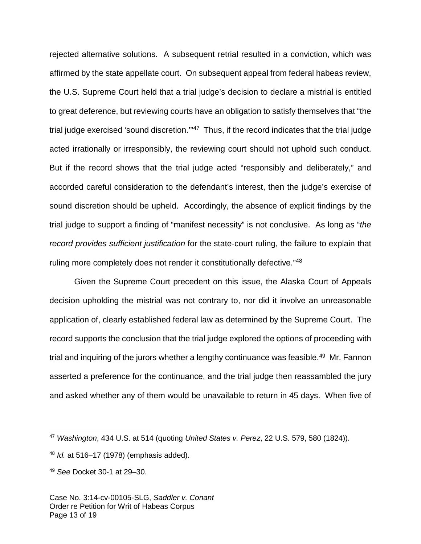rejected alternative solutions. A subsequent retrial resulted in a conviction, which was affirmed by the state appellate court. On subsequent appeal from federal habeas review, the U.S. Supreme Court held that a trial judge's decision to declare a mistrial is entitled to great deference, but reviewing courts have an obligation to satisfy themselves that "the trial judge exercised 'sound discretion."<sup>[47](#page-12-0)</sup> Thus, if the record indicates that the trial judge acted irrationally or irresponsibly, the reviewing court should not uphold such conduct. But if the record shows that the trial judge acted "responsibly and deliberately," and accorded careful consideration to the defendant's interest, then the judge's exercise of sound discretion should be upheld. Accordingly, the absence of explicit findings by the trial judge to support a finding of "manifest necessity" is not conclusive. As long as "the record provides sufficient justification for the state-court ruling, the failure to explain that ruling more completely does not render it constitutionally defective."<sup>[48](#page-12-1)</sup>

Given the Supreme Court precedent on this issue, the Alaska Court of Appeals decision upholding the mistrial was not contrary to, nor did it involve an unreasonable application of, clearly established federal law as determined by the Supreme Court. The record supports the conclusion that the trial judge explored the options of proceeding with trial and inquiring of the jurors whether a lengthy continuance was feasible.<sup>[49](#page-12-2)</sup> Mr. Fannon asserted a preference for the continuance, and the trial judge then reassambled the jury and asked whether any of them would be unavailable to return in 45 days. When five of

<span id="page-12-0"></span><sup>&</sup>lt;sup>47</sup> Washington, 434 U.S. at 514 (quoting United States v. Perez, 22 U.S. 579, 580 (1824)).

<span id="page-12-1"></span> $48$  *ld.* at 516–17 (1978) (emphasis added).

<span id="page-12-2"></span><sup>49</sup> See Docket 30-1 at 29–30.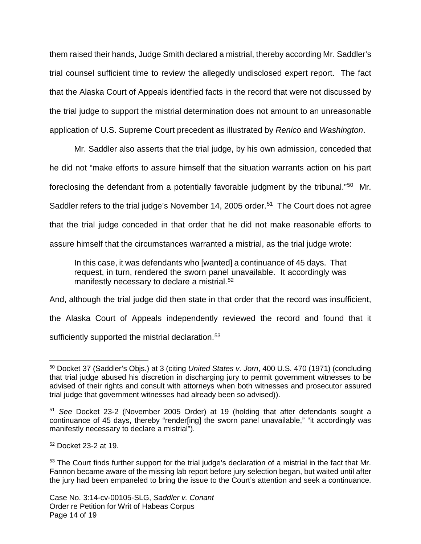them raised their hands, Judge Smith declared a mistrial, thereby according Mr. Saddler's trial counsel sufficient time to review the allegedly undisclosed expert report. The fact that the Alaska Court of Appeals identified facts in the record that were not discussed by the trial judge to support the mistrial determination does not amount to an unreasonable application of U.S. Supreme Court precedent as illustrated by Renico and Washington.

Mr. Saddler also asserts that the trial judge, by his own admission, conceded that he did not "make efforts to assure himself that the situation warrants action on his part foreclosing the defendant from a potentially favorable judgment by the tribunal."<sup>[50](#page-13-0)</sup> Mr. Saddler refers to the trial judge's November 14, 2005 order.<sup>[51](#page-13-1)</sup> The Court does not agree that the trial judge conceded in that order that he did not make reasonable efforts to assure himself that the circumstances warranted a mistrial, as the trial judge wrote:

In this case, it was defendants who [wanted] a continuance of 45 days. That request, in turn, rendered the sworn panel unavailable. It accordingly was manifestly necessary to declare a mistrial.<sup>[52](#page-13-2)</sup>

And, although the trial judge did then state in that order that the record was insufficient, the Alaska Court of Appeals independently reviewed the record and found that it sufficiently supported the mistrial declaration. $53$ 

<span id="page-13-2"></span><sup>52</sup> Docket 23-2 at 19.

<span id="page-13-0"></span> $\overline{a}$ <sup>50</sup> Docket 37 (Saddler's Objs.) at 3 (citing United States v. Jorn, 400 U.S. 470 (1971) (concluding that trial judge abused his discretion in discharging jury to permit government witnesses to be advised of their rights and consult with attorneys when both witnesses and prosecutor assured trial judge that government witnesses had already been so advised)).

<span id="page-13-1"></span><sup>51</sup> See Docket 23-2 (November 2005 Order) at 19 (holding that after defendants sought a continuance of 45 days, thereby "render[ing] the sworn panel unavailable," "it accordingly was manifestly necessary to declare a mistrial").

<span id="page-13-3"></span><sup>&</sup>lt;sup>53</sup> The Court finds further support for the trial judge's declaration of a mistrial in the fact that Mr. Fannon became aware of the missing lab report before jury selection began, but waited until after the jury had been empaneled to bring the issue to the Court's attention and seek a continuance.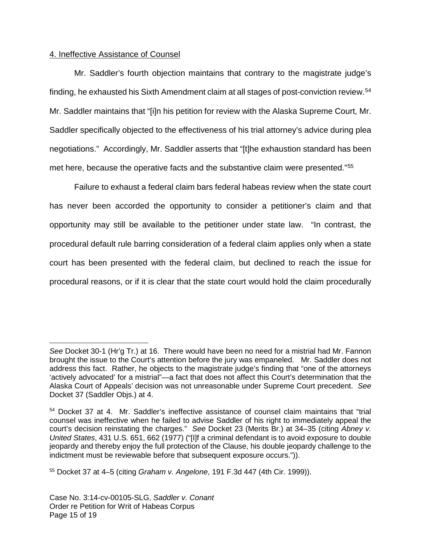## 4. Ineffective Assistance of Counsel

Mr. Saddler's fourth objection maintains that contrary to the magistrate judge's finding, he exhausted his Sixth Amendment claim at all stages of post-conviction review.<sup>[54](#page-14-0)</sup> Mr. Saddler maintains that "[i]n his petition for review with the Alaska Supreme Court, Mr. Saddler specifically objected to the effectiveness of his trial attorney's advice during plea negotiations." Accordingly, Mr. Saddler asserts that "[t]he exhaustion standard has been met here, because the operative facts and the substantive claim were presented."<sup>[55](#page-14-1)</sup>

Failure to exhaust a federal claim bars federal habeas review when the state court has never been accorded the opportunity to consider a petitioner's claim and that opportunity may still be available to the petitioner under state law. "In contrast, the procedural default rule barring consideration of a federal claim applies only when a state court has been presented with the federal claim, but declined to reach the issue for procedural reasons, or if it is clear that the state court would hold the claim procedurally

See Docket 30-1 (Hr'g Tr.) at 16. There would have been no need for a mistrial had Mr. Fannon brought the issue to the Court's attention before the jury was empaneled. Mr. Saddler does not address this fact. Rather, he objects to the magistrate judge's finding that "one of the attorneys 'actively advocated' for a mistrial"—a fact that does not affect this Court's determination that the Alaska Court of Appeals' decision was not unreasonable under Supreme Court precedent. See Docket 37 (Saddler Objs.) at 4.

<span id="page-14-0"></span><sup>54</sup> Docket 37 at 4. Mr. Saddler's ineffective assistance of counsel claim maintains that "trial counsel was ineffective when he failed to advise Saddler of his right to immediately appeal the court's decision reinstating the charges." See Docket 23 (Merits Br.) at 34–35 (citing Abney v. United States, 431 U.S. 651, 662 (1977) ("[I]f a criminal defendant is to avoid exposure to double jeopardy and thereby enjoy the full protection of the Clause, his double jeopardy challenge to the indictment must be reviewable before that subsequent exposure occurs.")).

<span id="page-14-1"></span><sup>55</sup> Docket 37 at 4–5 (citing Graham v. Angelone, 191 F.3d 447 (4th Cir. 1999)).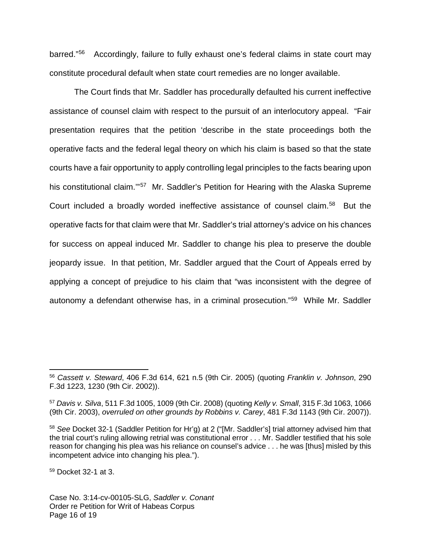barred." [56](#page-15-0) Accordingly, failure to fully exhaust one's federal claims in state court may constitute procedural default when state court remedies are no longer available.

The Court finds that Mr. Saddler has procedurally defaulted his current ineffective assistance of counsel claim with respect to the pursuit of an interlocutory appeal. "Fair presentation requires that the petition 'describe in the state proceedings both the operative facts and the federal legal theory on which his claim is based so that the state courts have a fair opportunity to apply controlling legal principles to the facts bearing upon his constitutional claim."<sup>[57](#page-15-1)</sup> Mr. Saddler's Petition for Hearing with the Alaska Supreme Court included a broadly worded ineffective assistance of counsel claim.<sup>[58](#page-15-2)</sup> But the operative facts for that claim were that Mr. Saddler's trial attorney's advice on his chances for success on appeal induced Mr. Saddler to change his plea to preserve the double jeopardy issue. In that petition, Mr. Saddler argued that the Court of Appeals erred by applying a concept of prejudice to his claim that "was inconsistent with the degree of autonomy a defendant otherwise has, in a criminal prosecution."[59](#page-15-3) While Mr. Saddler

<span id="page-15-3"></span><sup>59</sup> Docket 32-1 at 3.

<span id="page-15-0"></span><sup>&</sup>lt;sup>56</sup> Cassett v. Steward, 406 F.3d 614, 621 n.5 (9th Cir. 2005) (quoting Franklin v. Johnson, 290 F.3d 1223, 1230 (9th Cir. 2002)).

<span id="page-15-1"></span><sup>57</sup> Davis v. Silva, 511 F.3d 1005, 1009 (9th Cir. 2008) (quoting Kelly v. Small, 315 F.3d 1063, 1066 (9th Cir. 2003), overruled on other grounds by Robbins v. Carey, 481 F.3d 1143 (9th Cir. 2007)).

<span id="page-15-2"></span><sup>58</sup> See Docket 32-1 (Saddler Petition for Hr'g) at 2 ("[Mr. Saddler's] trial attorney advised him that the trial court's ruling allowing retrial was constitutional error . . . Mr. Saddler testified that his sole reason for changing his plea was his reliance on counsel's advice . . . he was [thus] misled by this incompetent advice into changing his plea.").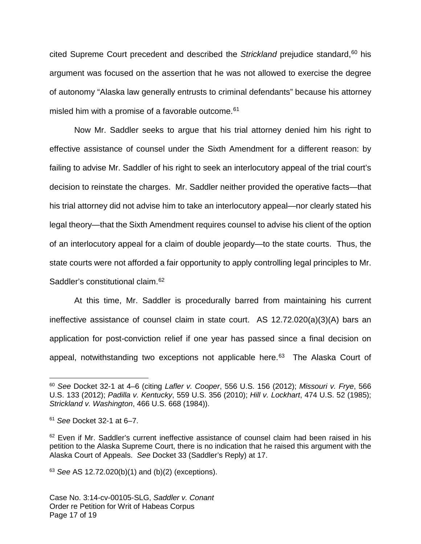cited Supreme Court precedent and described the Strickland prejudice standard,<sup>[60](#page-16-0)</sup> his argument was focused on the assertion that he was not allowed to exercise the degree of autonomy "Alaska law generally entrusts to criminal defendants" because his attorney misled him with a promise of a favorable outcome.<sup>[61](#page-16-1)</sup>

Now Mr. Saddler seeks to argue that his trial attorney denied him his right to effective assistance of counsel under the Sixth Amendment for a different reason: by failing to advise Mr. Saddler of his right to seek an interlocutory appeal of the trial court's decision to reinstate the charges. Mr. Saddler neither provided the operative facts—that his trial attorney did not advise him to take an interlocutory appeal—nor clearly stated his legal theory—that the Sixth Amendment requires counsel to advise his client of the option of an interlocutory appeal for a claim of double jeopardy—to the state courts. Thus, the state courts were not afforded a fair opportunity to apply controlling legal principles to Mr. Saddler's constitutional claim.<sup>[62](#page-16-2)</sup>

At this time, Mr. Saddler is procedurally barred from maintaining his current ineffective assistance of counsel claim in state court. AS 12.72.020(a)(3)(A) bars an application for post-conviction relief if one year has passed since a final decision on appeal, notwithstanding two exceptions not applicable here.<sup>[63](#page-16-3)</sup> The Alaska Court of

 $\overline{a}$ 

<span id="page-16-3"></span> $63$  See AS 12.72.020(b)(1) and (b)(2) (exceptions).

<span id="page-16-0"></span> $60$  See Docket 32-1 at 4–6 (citing Lafler v. Cooper, 556 U.S. 156 (2012); Missouri v. Frye, 566 U.S. 133 (2012); Padilla v. Kentucky, 559 U.S. 356 (2010); Hill v. Lockhart, 474 U.S. 52 (1985); Strickland v. Washington, 466 U.S. 668 (1984)).

<span id="page-16-1"></span> $61$  See Docket 32-1 at 6-7.

<span id="page-16-2"></span><sup>&</sup>lt;sup>62</sup> Even if Mr. Saddler's current ineffective assistance of counsel claim had been raised in his petition to the Alaska Supreme Court, there is no indication that he raised this argument with the Alaska Court of Appeals. See Docket 33 (Saddler's Reply) at 17.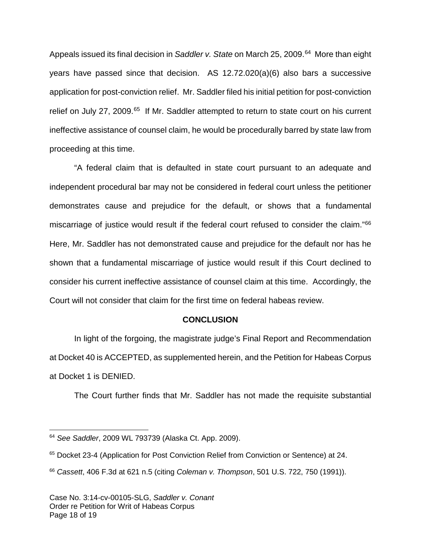Appeals issued its final decision in Saddler v. State on March 25, 2009.<sup>[64](#page-17-0)</sup> More than eight years have passed since that decision. AS 12.72.020(a)(6) also bars a successive application for post-conviction relief. Mr. Saddler filed his initial petition for post-conviction relief on July 27, 2009.<sup>[65](#page-17-1)</sup> If Mr. Saddler attempted to return to state court on his current ineffective assistance of counsel claim, he would be procedurally barred by state law from proceeding at this time.

 "A federal claim that is defaulted in state court pursuant to an adequate and independent procedural bar may not be considered in federal court unless the petitioner demonstrates cause and prejudice for the default, or shows that a fundamental miscarriage of justice would result if the federal court refused to consider the claim." [66](#page-17-2) Here, Mr. Saddler has not demonstrated cause and prejudice for the default nor has he shown that a fundamental miscarriage of justice would result if this Court declined to consider his current ineffective assistance of counsel claim at this time. Accordingly, the Court will not consider that claim for the first time on federal habeas review.

## **CONCLUSION**

In light of the forgoing, the magistrate judge's Final Report and Recommendation at Docket 40 is ACCEPTED, as supplemented herein, and the Petition for Habeas Corpus at Docket 1 is DENIED.

The Court further finds that Mr. Saddler has not made the requisite substantial

<span id="page-17-0"></span><sup>64</sup> See Saddler, 2009 WL 793739 (Alaska Ct. App. 2009).

<span id="page-17-1"></span><sup>&</sup>lt;sup>65</sup> Docket 23-4 (Application for Post Conviction Relief from Conviction or Sentence) at 24.

<span id="page-17-2"></span> $66$  Cassett, 406 F.3d at 621 n.5 (citing Coleman v. Thompson, 501 U.S. 722, 750 (1991)).